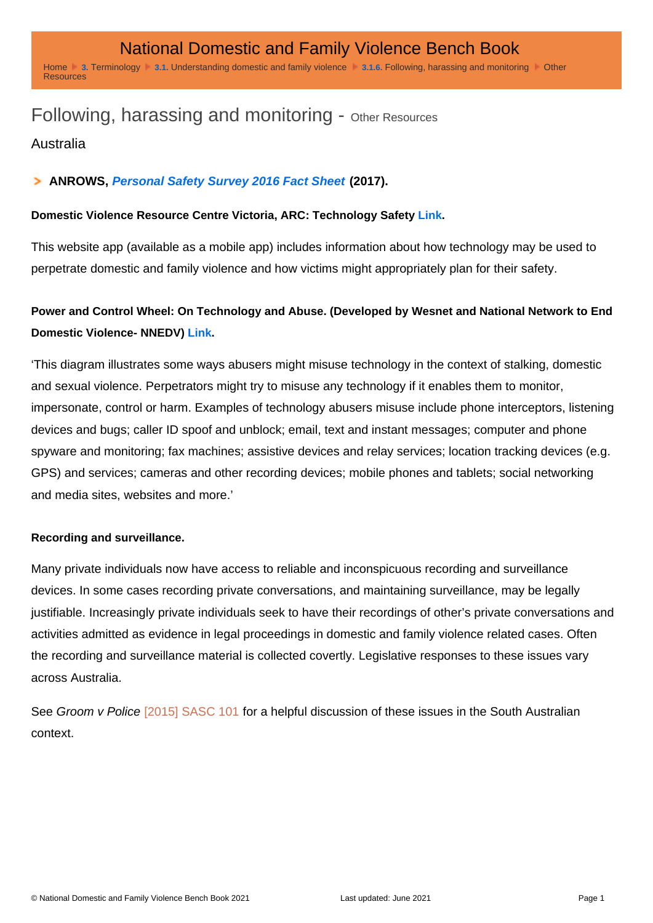## Following, harassing and monitoring - Other Resources

Australia

## ANROWS, [Personal Safety Survey 2016 Fact Sheet](https://d2rn9gno7zhxqg.cloudfront.net/wp-content/uploads/2019/01/19030553/ANROWS-PSS2016-Fact-Sheet-HR.pdf) (2017).

Domestic Violence Resource Centre Victoria, ARC: Technology Safety [Link](https://www.arc-app.org.au/resources/using-technology-safely) .

This website app (available as a mobile app) includes information about how technology may be used to perpetrate domestic and family violence and how victims might appropriately plan for their safety.

Power and Control Wheel: On Technology and Abuse. (Developed by Wesnet and National Network to End Domestic Violence- NNEDV) [Link](http://wesnet.org.au/wp-content/uploads/2016/03/WESNETNNEDV-Power-Control-Wheel-onepage.pdf) .

'This diagram illustrates some ways abusers might misuse technology in the context of stalking, domestic and sexual violence. Perpetrators might try to misuse any technology if it enables them to monitor, impersonate, control or harm. Examples of technology abusers misuse include phone interceptors, listening devices and bugs; caller ID spoof and unblock; email, text and instant messages; computer and phone spyware and monitoring; fax machines; assistive devices and relay services; location tracking devices (e.g. GPS) and services; cameras and other recording devices; mobile phones and tablets; social networking and media sites, websites and more.'

Recording and surveillance.

Many private individuals now have access to reliable and inconspicuous recording and surveillance devices. In some cases recording private conversations, and maintaining surveillance, may be legally justifiable. Increasingly private individuals seek to have their recordings of other's private conversations and activities admitted as evidence in legal proceedings in domestic and family violence related cases. Often the recording and surveillance material is collected covertly. Legislative responses to these issues vary across Australia.

See Groom v Police [\[2015\] SASC 101](http://dfvbenchbook.aija.org.au/sa/supreme-court/?ref=20600#t-20600) for a helpful discussion of these issues in the South Australian context.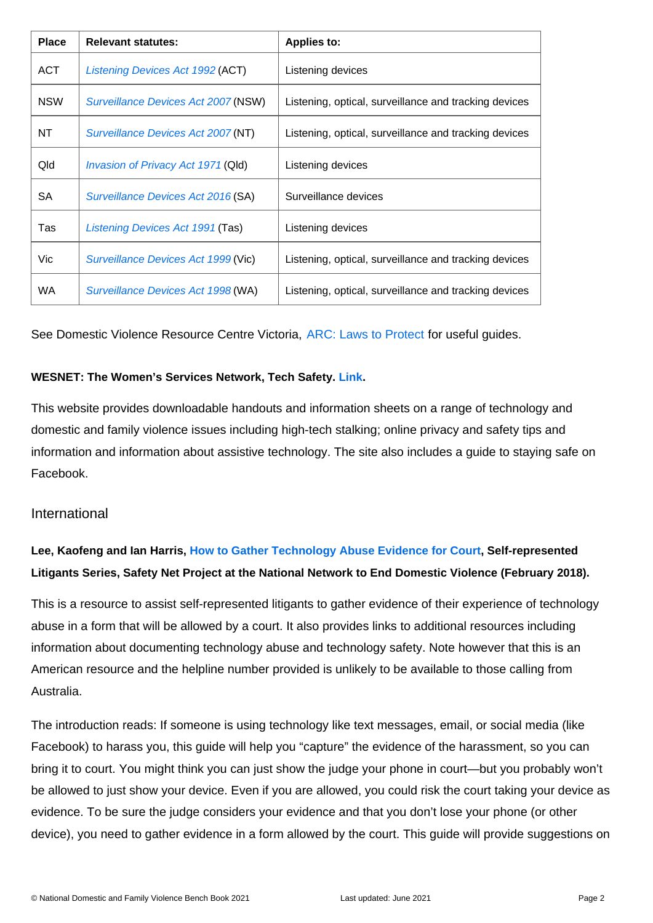| Place      | Relevant statutes:                  | Applies to:                                           |
|------------|-------------------------------------|-------------------------------------------------------|
| <b>ACT</b> | Listening Devices Act 1992 (ACT)    | Listening devices                                     |
| <b>NSW</b> | Surveillance Devices Act 2007 (NSW) | Listening, optical, surveillance and tracking devices |
| NT         | Surveillance Devices Act 2007 (NT)  | Listening, optical, surveillance and tracking devices |
| Qld        | Invasion of Privacy Act 1971 (Qld)  | Listening devices                                     |
| SA         | Surveillance Devices Act 2016 (SA)  | Surveillance devices                                  |
| Tas        | Listening Devices Act 1991 (Tas)    | Listening devices                                     |
| Vic        | Surveillance Devices Act 1999 (Vic) | Listening, optical, surveillance and tracking devices |
| <b>WA</b>  | Surveillance Devices Act 1998 (WA)  | Listening, optical, surveillance and tracking devices |

See Domestic Violence Resource Centre Victoria, [ARC: Laws to Protect](https://www.arc-app.org.au/resources/laws-to-protect) for useful guides.

WESNET: The Women's Services Network, Tech Safety. [Link](https://techsafety.org.au/resources/resources-women).

This website provides downloadable handouts and information sheets on a range of technology and domestic and family violence issues including high-tech stalking; online privacy and safety tips and information and information about assistive technology. The site also includes a guide to staying safe on Facebook.

## International

Lee, Kaofeng and Ian Harris, [How to Gather Technology Abuse Evidence for Court](https://rcdvcpc.org/resources/resource-library/resource/how-to-gather-technology-abuse-evidence-for-court.html) Self-represented Litigants Series, Safety Net Project at the National Network to End Domestic Violence (February 2018).

This is a resource to assist self-represented litigants to gather evidence of their experience of technology abuse in a form that will be allowed by a court. It also provides links to additional resources including information about documenting technology abuse and technology safety. Note however that this is an American resource and the helpline number provided is unlikely to be available to those calling from Australia.

The introduction reads: If someone is using technology like text messages, email, or social media (like Facebook) to harass you, this guide will help you "capture" the evidence of the harassment, so you can bring it to court. You might think you can just show the judge your phone in court—but you probably won't be allowed to just show your device. Even if you are allowed, you could risk the court taking your device as evidence. To be sure the judge considers your evidence and that you don't lose your phone (or other device), you need to gather evidence in a form allowed by the court. This guide will provide suggestions on